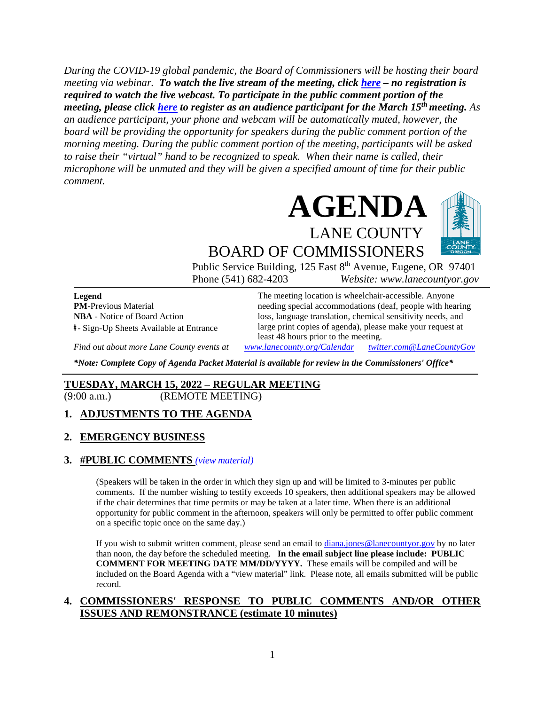*During the COVID-19 global pandemic, the Board of Commissioners will be hosting their board meeting via webinar. To watch the live stream of the meeting, click [here](https://lanecounty.org/cms/One.aspx?portalId=3585881&pageId=7842434) – no registration is required to watch the live webcast. To participate in the public comment portion of the meeting, please click [here](https://us06web.zoom.us/webinar/register/WN_CaSfKKqcSqG2Odr9l9BNcg) to register as an audience participant for the March 15th meeting. As an audience participant, your phone and webcam will be automatically muted, however, the board will be providing the opportunity for speakers during the public comment portion of the morning meeting. During the public comment portion of the meeting, participants will be asked to raise their "virtual" hand to be recognized to speak. When their name is called, their microphone will be unmuted and they will be given a specified amount of time for their public comment.* 



BOARD OF COMMISSIONERS Public Service Building, 125 East 8<sup>th</sup> Avenue, Eugene, OR 97401

Phone (541) 682-4203 *Website: www.lanecountyor.gov*

**Legend PM**-Previous Material **NBA** - Notice of Board Action **#** - Sign-Up Sheets Available at Entrance

The meeting location is wheelchair-accessible. Anyone needing special accommodations (deaf, people with hearing loss, language translation, chemical sensitivity needs, and large print copies of agenda), please make your request at least 48 hours prior to the meeting.

*Find out about more Lane County events at [www.lanecounty.org/Calendar](http://www.lanecounty.org/Calendar) [twitter.com@LaneCountyGov](https://twitter.com/lanecountygov?lang=en)*

*\*Note: Complete Copy of Agenda Packet Material is available for review in the Commissioners' Office\**

## **TUESDAY, MARCH 15, 2022 – REGULAR MEETING**

(9:00 a.m.) (REMOTE MEETING)

#### **1. ADJUSTMENTS TO THE AGENDA**

#### **2. EMERGENCY BUSINESS**

#### **3. #PUBLIC COMMENTS** *(view [material\)](http://www.lanecountyor.gov/UserFiles/Servers/Server_3585797/File/Government/BCC/2022/2022_AGENDAS/031522agenda/T.3.pdf)*

(Speakers will be taken in the order in which they sign up and will be limited to 3-minutes per public comments. If the number wishing to testify exceeds 10 speakers, then additional speakers may be allowed if the chair determines that time permits or may be taken at a later time. When there is an additional opportunity for public comment in the afternoon, speakers will only be permitted to offer public comment on a specific topic once on the same day.)

If you wish to submit written comment, please send an email to [diana.jones@lanecountyor.gov](mailto:diana.jones@lanecountyor.gov) by no later than noon, the day before the scheduled meeting. **In the email subject line please include: PUBLIC COMMENT FOR MEETING DATE MM/DD/YYYY.** These emails will be compiled and will be included on the Board Agenda with a "view material" link. Please note, all emails submitted will be public record.

#### **4. COMMISSIONERS' RESPONSE TO PUBLIC COMMENTS AND/OR OTHER ISSUES AND REMONSTRANCE (estimate 10 minutes)**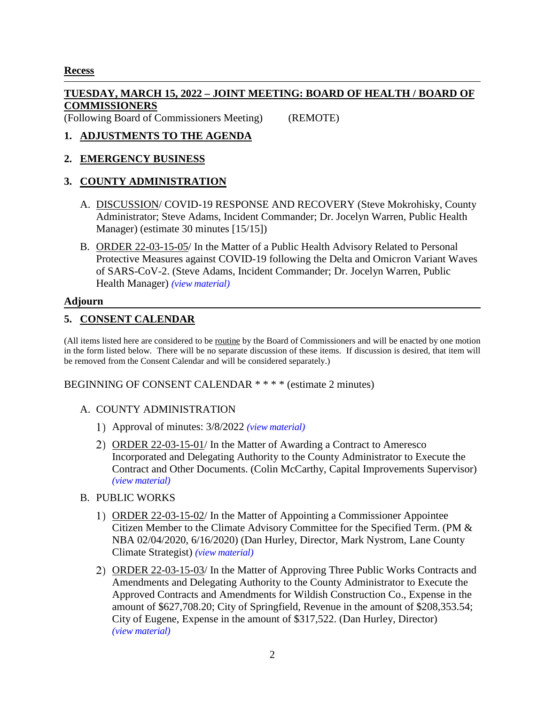# **Recess**

# **TUESDAY, MARCH 15, 2022 – JOINT MEETING: BOARD OF HEALTH / BOARD OF COMMISSIONERS**

(Following Board of Commissioners Meeting) (REMOTE)

# **1. ADJUSTMENTS TO THE AGENDA**

## **2. EMERGENCY BUSINESS**

# **3. COUNTY ADMINISTRATION**

- A. DISCUSSION/ COVID-19 RESPONSE AND RECOVERY (Steve Mokrohisky, County Administrator; Steve Adams, Incident Commander; Dr. Jocelyn Warren, Public Health Manager) (estimate 30 minutes [15/15])
- B. ORDER 22-03-15-05/ In the Matter of a Public Health Advisory Related to Personal Protective Measures against COVID-19 following the Delta and Omicron Variant Waves of SARS-CoV-2. (Steve Adams, Incident Commander; Dr. Jocelyn Warren, Public Health Manager) *(view [material\)](http://www.lanecountyor.gov/UserFiles/Servers/Server_3585797/File/Government/BCC/2022/2022_AGENDAS/031522agenda/T.3.B.pdf)*

## **Adjourn**

# **5. CONSENT CALENDAR**

(All items listed here are considered to be routine by the Board of Commissioners and will be enacted by one motion in the form listed below. There will be no separate discussion of these items. If discussion is desired, that item will be removed from the Consent Calendar and will be considered separately.)

#### BEGINNING OF CONSENT CALENDAR \* \* \* \* (estimate 2 minutes)

#### A. COUNTY ADMINISTRATION

- Approval of minutes: 3/8/2022 *(view [material\)](http://www.lanecountyor.gov/UserFiles/Servers/Server_3585797/File/Government/BCC/2022/2022_AGENDAS/031522agenda/T.5.A.1.pdf)*
- 2) ORDER 22-03-15-01/ In the Matter of Awarding a Contract to Ameresco Incorporated and Delegating Authority to the County Administrator to Execute the Contract and Other Documents. (Colin McCarthy, Capital Improvements Supervisor) *(view [material\)](http://www.lanecountyor.gov/UserFiles/Servers/Server_3585797/File/Government/BCC/2022/2022_AGENDAS/031522agenda/T.5.A.2.pdf)*
- B. PUBLIC WORKS
	- ORDER 22-03-15-02/ In the Matter of Appointing a Commissioner Appointee Citizen Member to the Climate Advisory Committee for the Specified Term. (PM & NBA 02/04/2020, 6/16/2020) (Dan Hurley, Director, Mark Nystrom, Lane County Climate Strategist) *(view [material\)](http://www.lanecountyor.gov/UserFiles/Servers/Server_3585797/File/Government/BCC/2022/2022_AGENDAS/031522agenda/T.5.B.1.pdf)*
	- ORDER 22-03-15-03/ In the Matter of Approving Three Public Works Contracts and Amendments and Delegating Authority to the County Administrator to Execute the Approved Contracts and Amendments for Wildish Construction Co., Expense in the amount of \$627,708.20; City of Springfield, Revenue in the amount of \$208,353.54; City of Eugene, Expense in the amount of \$317,522. (Dan Hurley, Director) *(view [material\)](http://www.lanecountyor.gov/UserFiles/Servers/Server_3585797/File/Government/BCC/2022/2022_AGENDAS/031522agenda/T.5.B.2.pdf)*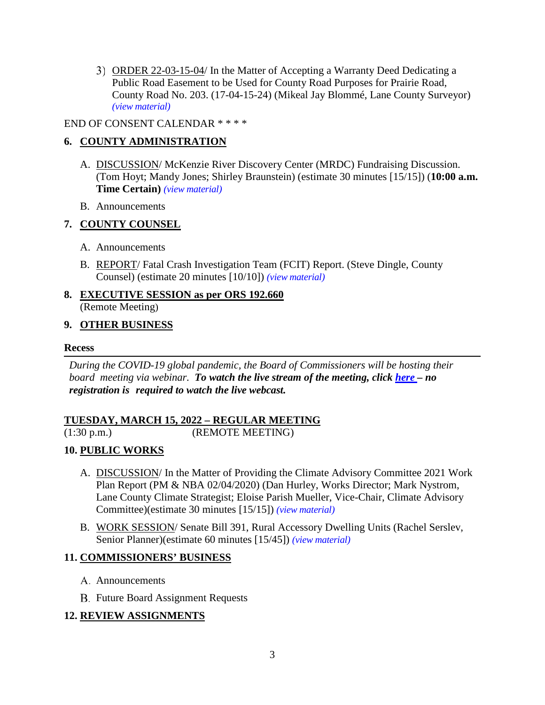ORDER 22-03-15-04/ In the Matter of Accepting a Warranty Deed Dedicating a Public Road Easement to be Used for County Road Purposes for Prairie Road, County Road No. 203. (17-04-15-24) (Mikeal Jay Blommé, Lane County Surveyor) *(view [material\)](http://www.lanecountyor.gov/UserFiles/Servers/Server_3585797/File/Government/BCC/2022/2022_AGENDAS/031522agenda/T.5.B.3.pdf)*

## END OF CONSENT CALENDAR \* \* \* \*

# **6. COUNTY ADMINISTRATION**

- A. DISCUSSION/ McKenzie River Discovery Center (MRDC) Fundraising Discussion. (Tom Hoyt; Mandy Jones; Shirley Braunstein) (estimate 30 minutes [15/15]) (**10:00 a.m. Time Certain)** *(view [material\)](http://www.lanecountyor.gov/UserFiles/Servers/Server_3585797/File/Government/BCC/2022/2022_AGENDAS/031522agenda/T.6.A.pdf)*
- B. Announcements

## **7. COUNTY COUNSEL**

- A. Announcements
- B. REPORT/ Fatal Crash Investigation Team (FCIT) Report. (Steve Dingle, County Counsel) (estimate 20 minutes [10/10]) *(view [material\)](http://www.lanecountyor.gov/UserFiles/Servers/Server_3585797/File/Government/BCC/2022/2022_AGENDAS/031522agenda/T.7.B.pdf)*
- **8. EXECUTIVE SESSION as per ORS 192.660** (Remote Meeting)

## **9. OTHER BUSINESS**

## **Recess**

*During the COVID-19 global pandemic, the Board of Commissioners will be hosting their board meeting via webinar. To watch the live stream of the meeting, click [here](https://lanecounty.org/cms/One.aspx?portalId=3585881&pageId=7842434) – no registration is required to watch the live webcast.* 

### **TUESDAY, MARCH 15, 2022 – REGULAR MEETING** (1:30 p.m.) (REMOTE MEETING)

## **10. PUBLIC WORKS**

- A. DISCUSSION/ In the Matter of Providing the Climate Advisory Committee 2021 Work Plan Report (PM & NBA 02/04/2020) (Dan Hurley, Works Director; Mark Nystrom, Lane County Climate Strategist; Eloise Parish Mueller, Vice-Chair, Climate Advisory Committee)(estimate 30 minutes [15/15]) *(view [material\)](http://www.lanecountyor.gov/UserFiles/Servers/Server_3585797/File/Government/BCC/2022/2022_AGENDAS/031522agenda/T.10.A.pdf)*
- B. WORK SESSION/ Senate Bill 391, Rural Accessory Dwelling Units (Rachel Serslev, Senior Planner)(estimate 60 minutes [15/45]) *(view [material\)](http://www.lanecountyor.gov/UserFiles/Servers/Server_3585797/File/Government/BCC/2022/2022_AGENDAS/031522agenda/T.10.B.pdf)*

## **11. COMMISSIONERS' BUSINESS**

- A. Announcements
- **B.** Future Board Assignment Requests

## **12. REVIEW ASSIGNMENTS**